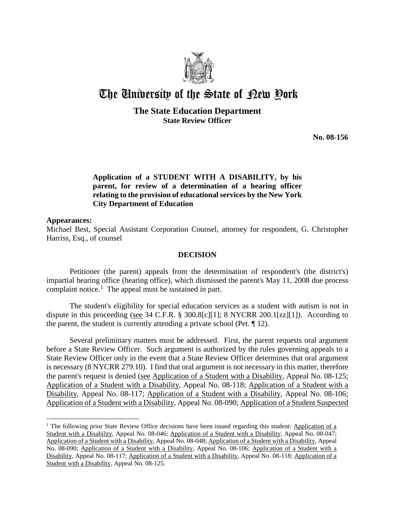

# The University of the State of Pew Pork

# **The State Education Department State Review Officer**

**No. 08-156**

# **Application of a STUDENT WITH A DISABILITY, by his parent, for review of a determination of a hearing officer relating to the provision of educational services by the New York City Department of Education**

#### **Appearances:**

 $\overline{a}$ 

Michael Best, Special Assistant Corporation Counsel, attorney for respondent, G. Christopher Harriss, Esq., of counsel

## **DECISION**

Petitioner (the parent) appeals from the determination of respondent's (the district's) impartial hearing office (hearing office), which dismissed the parent's May 11, 2008 due process complaint notice.<sup>1</sup> The appeal must be sustained in part.

The student's eligibility for special education services as a student with autism is not in dispute in this proceeding (see 34 C.F.R. § 300.8[c][1]; 8 NYCRR 200.1[zz][1]). According to the parent, the student is currently attending a private school (Pet. ¶ 12).

Several preliminary matters must be addressed. First, the parent requests oral argument before a State Review Officer. Such argument is authorized by the rules governing appeals to a State Review Officer only in the event that a State Review Officer determines that oral argument is necessary (8 NYCRR 279.10). I find that oral argument is not necessary in this matter, therefore the parent's request is denied (see Application of a Student with a Disability, Appeal No. 08-125; Application of a Student with a Disability, Appeal No. 08-118; Application of a Student with a Disability, Appeal No. 08-117; Application of a Student with a Disability, Appeal No. 08-106; Application of a Student with a Disability, Appeal No. 08-090; Application of a Student Suspected

<sup>&</sup>lt;sup>1</sup> The following prior State Review Office decisions have been issued regarding this student: Application of a Student with a Disability, Appeal No. 08-046; Application of a Student with a Disability, Appeal No. 08-047; Application of a Student with a Disability, Appeal No. 08-048; Application of a Student with a Disability, Appeal No. 08-090; Application of a Student with a Disability, Appeal No. 08-106; Application of a Student with a Disability, Appeal No. 08-117; Application of a Student with a Disability, Appeal No. 08-118; Application of a Student with a Disability, Appeal No. 08-125.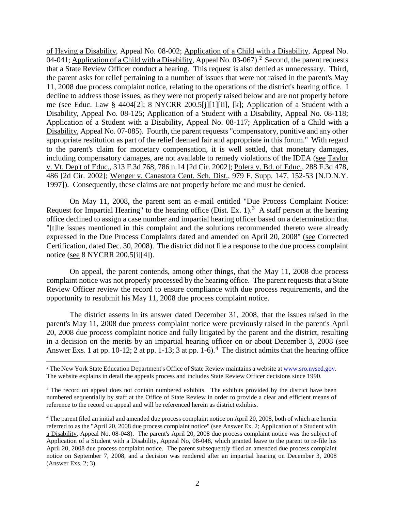of Having a Disability, Appeal No. 08-002; Application of a Child with a Disability, Appeal No. 04-041; Application of a Child with a Disability, Appeal No. 03-067).<sup>2</sup> Second, the parent requests that a State Review Officer conduct a hearing. This request is also denied as unnecessary. Third, the parent asks for relief pertaining to a number of issues that were not raised in the parent's May 11, 2008 due process complaint notice, relating to the operations of the district's hearing office. I decline to address those issues, as they were not properly raised below and are not properly before me (see Educ. Law § 4404[2]; 8 NYCRR 200.5[j][1][ii], [k]; Application of a Student with a Disability, Appeal No. 08-125; Application of a Student with a Disability, Appeal No. 08-118; Application of a Student with a Disability, Appeal No. 08-117; Application of a Child with a Disability, Appeal No. 07-085). Fourth, the parent requests "compensatory, punitive and any other appropriate restitution as part of the relief deemed fair and appropriate in this forum." With regard to the parent's claim for monetary compensation, it is well settled, that monetary damages, including compensatory damages, are not available to remedy violations of the IDEA (see Taylor v. Vt. Dep't of Educ., 313 F.3d 768, 786 n.14 [2d Cir. 2002]; Polera v. Bd. of Educ., 288 F.3d 478, 486 [2d Cir. 2002]; Wenger v. Canastota Cent. Sch. Dist., 979 F. Supp. 147, 152-53 [N.D.N.Y. 1997]). Consequently, these claims are not properly before me and must be denied.

On May 11, 2008, the parent sent an e-mail entitled "Due Process Complaint Notice: Request for Impartial Hearing" to the hearing office (Dist. Ex. 1).<sup>3</sup> A staff person at the hearing office declined to assign a case number and impartial hearing officer based on a determination that "[t]he issues mentioned in this complaint and the solutions recommended thereto were already expressed in the Due Process Complaints dated and amended on April 20, 2008" (see Corrected Certification, dated Dec. 30, 2008). The district did not file a response to the due process complaint notice (see 8 NYCRR 200.5[i][4]).

On appeal, the parent contends, among other things, that the May 11, 2008 due process complaint notice was not properly processed by the hearing office. The parent requests that a State Review Officer review the record to ensure compliance with due process requirements, and the opportunity to resubmit his May 11, 2008 due process complaint notice.

The district asserts in its answer dated December 31, 2008, that the issues raised in the parent's May 11, 2008 due process complaint notice were previously raised in the parent's April 20, 2008 due process complaint notice and fully litigated by the parent and the district, resulting in a decision on the merits by an impartial hearing officer on or about December 3, 2008 (see Answer Exs. 1 at pp. 10-12; 2 at pp. 1-13; 3 at pp. 1-6).<sup>4</sup> The district admits that the hearing office

 $\overline{a}$ 

<sup>&</sup>lt;sup>2</sup> The New York State Education Department's Office of State Review maintains a website at www.sro.nysed.gov. The website explains in detail the appeals process and includes State Review Officer decisions since 1990.

<sup>&</sup>lt;sup>3</sup> The record on appeal does not contain numbered exhibits. The exhibits provided by the district have been numbered sequentially by staff at the Office of State Review in order to provide a clear and efficient means of reference to the record on appeal and will be referenced herein as district exhibits.

<sup>4</sup> The parent filed an initial and amended due process complaint notice on April 20, 2008, both of which are herein referred to as the "April 20, 2008 due process complaint notice" (see Answer Ex. 2; Application of a Student with a Disability, Appeal No. 08-048). The parent's April 20, 2008 due process complaint notice was the subject of Application of a Student with a Disability, Appeal No, 08-048, which granted leave to the parent to re-file his April 20, 2008 due process complaint notice. The parent subsequently filed an amended due process complaint notice on September 7, 2008, and a decision was rendered after an impartial hearing on December 3, 2008 (Answer Exs. 2; 3).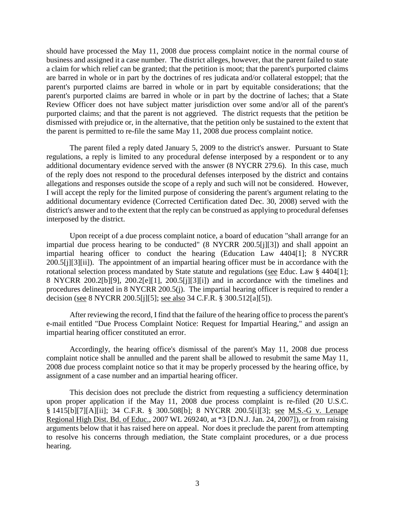should have processed the May 11, 2008 due process complaint notice in the normal course of business and assigned it a case number. The district alleges, however, that the parent failed to state a claim for which relief can be granted; that the petition is moot; that the parent's purported claims are barred in whole or in part by the doctrines of res judicata and/or collateral estoppel; that the parent's purported claims are barred in whole or in part by equitable considerations; that the parent's purported claims are barred in whole or in part by the doctrine of laches; that a State Review Officer does not have subject matter jurisdiction over some and/or all of the parent's purported claims; and that the parent is not aggrieved. The district requests that the petition be dismissed with prejudice or, in the alternative, that the petition only be sustained to the extent that the parent is permitted to re-file the same May 11, 2008 due process complaint notice.

The parent filed a reply dated January 5, 2009 to the district's answer. Pursuant to State regulations, a reply is limited to any procedural defense interposed by a respondent or to any additional documentary evidence served with the answer (8 NYCRR 279.6). In this case, much of the reply does not respond to the procedural defenses interposed by the district and contains allegations and responses outside the scope of a reply and such will not be considered. However, I will accept the reply for the limited purpose of considering the parent's argument relating to the additional documentary evidence (Corrected Certification dated Dec. 30, 2008) served with the district's answer and to the extent that the reply can be construed as applying to procedural defenses interposed by the district.

Upon receipt of a due process complaint notice, a board of education "shall arrange for an impartial due process hearing to be conducted" (8 NYCRR 200.5[j][3]) and shall appoint an impartial hearing officer to conduct the hearing (Education Law 4404[1]; 8 NYCRR 200.5[j][3][ii]). The appointment of an impartial hearing officer must be in accordance with the rotational selection process mandated by State statute and regulations (see Educ. Law § 4404[1]; 8 NYCRR 200.2[b][9], 200.2[e][1], 200.5[j][3][i]) and in accordance with the timelines and procedures delineated in 8 NYCRR 200.5(j). The impartial hearing officer is required to render a decision (see 8 NYCRR 200.5[j][5]; see also 34 C.F.R. § 300.512[a][5]).

After reviewing the record, I find that the failure of the hearing office to process the parent's e-mail entitled "Due Process Complaint Notice: Request for Impartial Hearing," and assign an impartial hearing officer constituted an error.

Accordingly, the hearing office's dismissal of the parent's May 11, 2008 due process complaint notice shall be annulled and the parent shall be allowed to resubmit the same May 11, 2008 due process complaint notice so that it may be properly processed by the hearing office, by assignment of a case number and an impartial hearing officer.

This decision does not preclude the district from requesting a sufficiency determination upon proper application if the May 11, 2008 due process complaint is re-filed (20 U.S.C.  $\frac{1}{2}$ [1415[b][7][A][ii]; 34 C.F.R. § 300.508[b]; 8 NYCRR 200.5[i][3]; see M.S.-G v. Lenape Regional High Dist. Bd. of Educ., 2007 WL 269240, at \*3 [D.N.J. Jan. 24, 2007]), or from raising arguments below that it has raised here on appeal. Nor does it preclude the parent from attempting to resolve his concerns through mediation, the State complaint procedures, or a due process hearing.